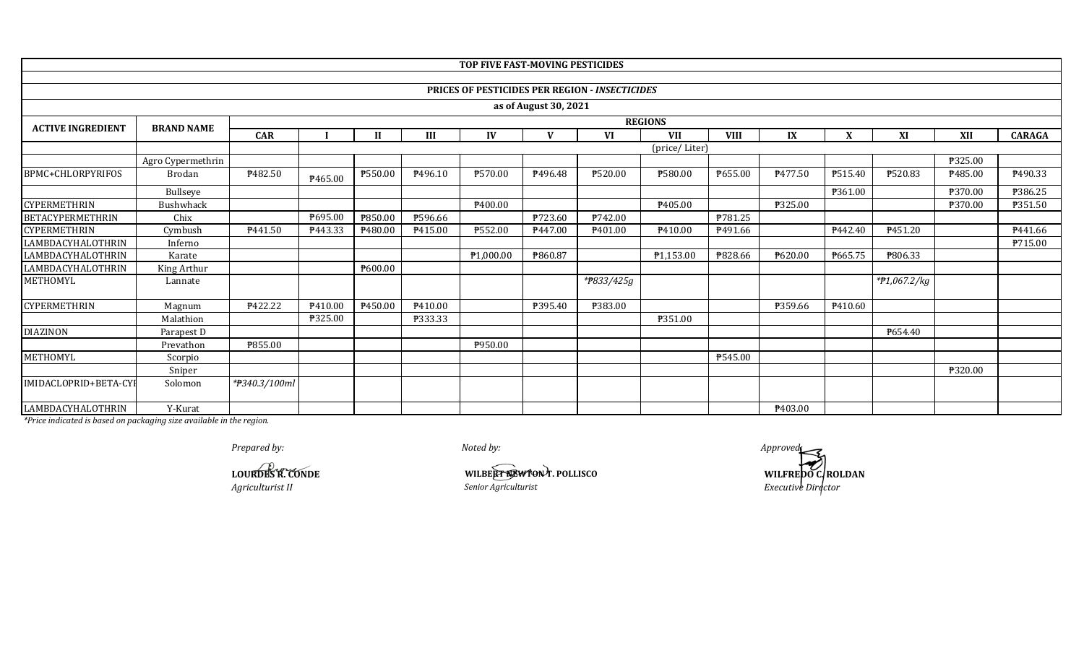|                          |                   |                |                |              |         | TOP FIVE FAST-MOVING PESTICIDES |                       |                                                |               |             |         |         |                |         |               |
|--------------------------|-------------------|----------------|----------------|--------------|---------|---------------------------------|-----------------------|------------------------------------------------|---------------|-------------|---------|---------|----------------|---------|---------------|
|                          |                   |                |                |              |         |                                 |                       |                                                |               |             |         |         |                |         |               |
|                          |                   |                |                |              |         |                                 |                       | PRICES OF PESTICIDES PER REGION - INSECTICIDES |               |             |         |         |                |         |               |
|                          |                   |                |                |              |         |                                 | as of August 30, 2021 |                                                |               |             |         |         |                |         |               |
| <b>ACTIVE INGREDIENT</b> | <b>BRAND NAME</b> |                | <b>REGIONS</b> |              |         |                                 |                       |                                                |               |             |         |         |                |         |               |
|                          |                   | <b>CAR</b>     |                | $\mathbf{H}$ | III     | IV                              | $\mathbf{V}$          | VI                                             | <b>VII</b>    | <b>VIII</b> | IX      | X       | XI             | XII     | <b>CARAGA</b> |
|                          |                   |                |                |              |         |                                 |                       |                                                | (price/Liter) |             |         |         |                |         |               |
|                          | Agro Cypermethrin |                |                |              |         |                                 |                       |                                                |               |             |         |         |                | P325.00 |               |
| BPMC+CHLORPYRIFOS        | <b>Brodan</b>     | ₱482.50        | ₱465.00        | ₱550.00      | P496.10 | ₱570.00                         | P496.48               | ₱520.00                                        | ₱580.00       | ₱655.00     | P477.50 | P515.40 | P520.83        | P485.00 | P490.33       |
|                          | Bullseye          |                |                |              |         |                                 |                       |                                                |               |             |         | P361.00 |                | ₱370.00 | ₱386.25       |
| <b>CYPERMETHRIN</b>      | Bushwhack         |                |                |              |         | P400.00                         |                       |                                                | P405.00       |             | ₱325.00 |         |                | ₱370.00 | P351.50       |
| <b>BETACYPERMETHRIN</b>  | Chix              |                | P695.00        | ₱850.00      | P596.66 |                                 | ₱723.60               | P742.00                                        |               | P781.25     |         |         |                |         |               |
| CYPERMETHRIN             | Cymbush           | P441.50        | P443.33        | ₱480.00      | P415.00 | ₱552.00                         | P447.00               | P401.00                                        | P410.00       | P491.66     |         | P442.40 | P451.20        |         | P441.66       |
| LAMBDACYHALOTHRIN        | Inferno           |                |                |              |         |                                 |                       |                                                |               |             |         |         |                |         | P715.00       |
| LAMBDACYHALOTHRIN        | Karate            |                |                |              |         | ₱1,000.00                       | ₱860.87               |                                                | P1,153.00     | ₱828.66     | P620.00 | P665.75 | P806.33        |         |               |
| LAMBDACYHALOTHRIN        | King Arthur       |                |                | ₱600.00      |         |                                 |                       |                                                |               |             |         |         |                |         |               |
| METHOMYL                 | Lannate           |                |                |              |         |                                 |                       | *#833/425g                                     |               |             |         |         | $*P1,067.2/kg$ |         |               |
| CYPERMETHRIN             | Magnum            | <b>P422.22</b> | P410.00        | P450.00      | P410.00 |                                 | ₱395.40               | ₱383.00                                        |               |             | P359.66 | P410.60 |                |         |               |
|                          | Malathion         |                | P325.00        |              | ₱333.33 |                                 |                       |                                                | ₱351.00       |             |         |         |                |         |               |
| <b>DIAZINON</b>          | Parapest D        |                |                |              |         |                                 |                       |                                                |               |             |         |         | P654.40        |         |               |
|                          | Prevathon         | ₱855.00        |                |              |         | ₱950.00                         |                       |                                                |               |             |         |         |                |         |               |
| METHOMYL                 | Scorpio           |                |                |              |         |                                 |                       |                                                |               | P545.00     |         |         |                |         |               |
|                          | Sniper            |                |                |              |         |                                 |                       |                                                |               |             |         |         |                | ₱320.00 |               |
| IMIDACLOPRID+BETA-CYI    | Solomon           | *#340.3/100ml  |                |              |         |                                 |                       |                                                |               |             |         |         |                |         |               |
| LAMBDACYHALOTHRIN        | Y-Kurat           |                |                |              |         |                                 |                       |                                                |               |             | P403.00 |         |                |         |               |

**LOURDES R. CONDE** *Agriculturist II*

**WILBERT REWTON** T. POLLISCO<br>**Senior Agriculturist** 

*Noted by:*

**WILFREDO CROLDAN**<br>*Executive Director Prepared by: Approved: Approved: Approved: Approved: Approved: Approved: Approved: Approved: Approved: Approved: Approved: Approved: Approved: Approved: Approved: Approved: Approved: Ap*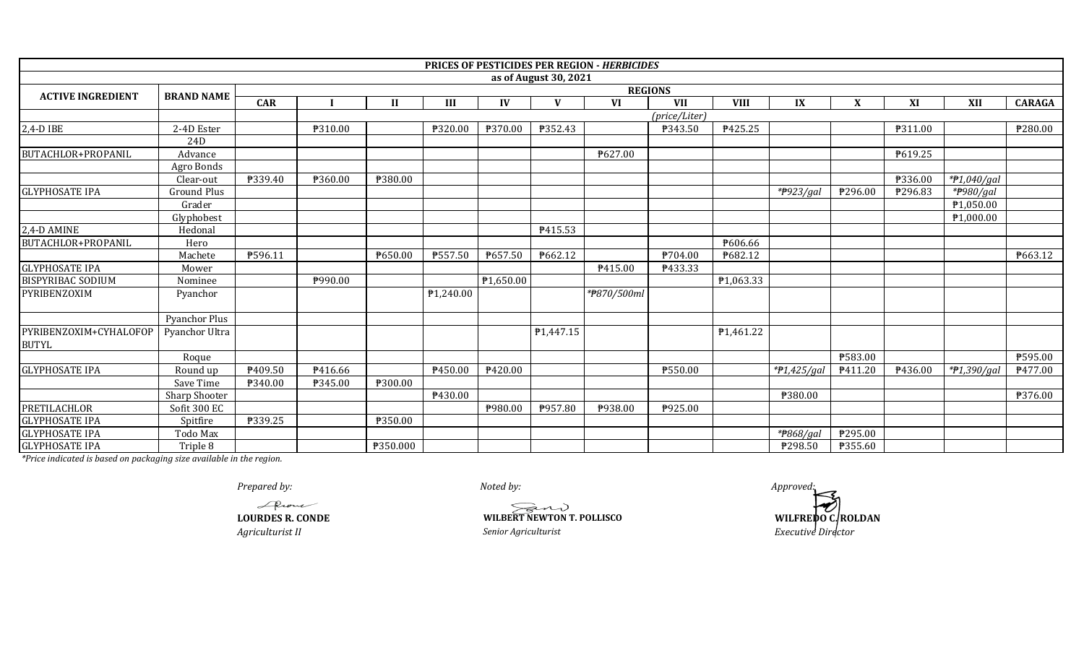|                                        |                      |            |         |              |           |           |                       | PRICES OF PESTICIDES PER REGION - HERBICIDES |               |             |              |              |         |             |               |
|----------------------------------------|----------------------|------------|---------|--------------|-----------|-----------|-----------------------|----------------------------------------------|---------------|-------------|--------------|--------------|---------|-------------|---------------|
|                                        |                      |            |         |              |           |           | as of August 30, 2021 |                                              |               |             |              |              |         |             |               |
| <b>ACTIVE INGREDIENT</b>               | <b>BRAND NAME</b>    |            |         |              |           |           |                       | <b>REGIONS</b>                               |               |             |              |              |         |             |               |
|                                        |                      | <b>CAR</b> |         | $\mathbf{I}$ | III       | IV        | $\mathbf{V}$          | <b>VI</b>                                    | <b>VII</b>    | <b>VIII</b> | IX           | $\mathbf{X}$ | XI      | XII         | <b>CARAGA</b> |
|                                        |                      |            |         |              |           |           |                       |                                              | (price/Liter) |             |              |              |         |             |               |
| 2,4-D IBE                              | 2-4D Ester           |            | ₱310.00 |              | ₱320.00   | ₱370.00   | ₱352.43               |                                              | ₱343.50       | ₱425.25     |              |              | ₱311.00 |             | P280.00       |
|                                        | 24D                  |            |         |              |           |           |                       |                                              |               |             |              |              |         |             |               |
| <b>BUTACHLOR+PROPANIL</b>              | Advance              |            |         |              |           |           |                       | ₱627.00                                      |               |             |              |              | ₱619.25 |             |               |
|                                        | Agro Bonds           |            |         |              |           |           |                       |                                              |               |             |              |              |         |             |               |
|                                        | Clear-out            | ₱339.40    | ₱360.00 | ₱380.00      |           |           |                       |                                              |               |             |              |              | ₱336.00 | *#1,040/gal |               |
| <b>GLYPHOSATE IPA</b>                  | <b>Ground Plus</b>   |            |         |              |           |           |                       |                                              |               |             | * $P923/gal$ | ₱296.00      | ₱296.83 | *#980/gal   |               |
|                                        | Grader               |            |         |              |           |           |                       |                                              |               |             |              |              |         | ₱1,050.00   |               |
|                                        | Glyphobest           |            |         |              |           |           |                       |                                              |               |             |              |              |         | ₱1,000.00   |               |
| 2,4-D AMINE                            | Hedona               |            |         |              |           |           | P415.53               |                                              |               |             |              |              |         |             |               |
| BUTACHLOR+PROPANIL                     | Hero                 |            |         |              |           |           |                       |                                              |               | ₱606.66     |              |              |         |             |               |
|                                        | Machete              | ₱596.11    |         | ₱650.00      | ₱557.50   | ₱657.50   | ₱662.12               |                                              | P704.00       | ₱682.12     |              |              |         |             | P663.12       |
| <b>GLYPHOSATE IPA</b>                  | Mower                |            |         |              |           |           |                       | P415.00                                      | ₱433.33       |             |              |              |         |             |               |
| <b>BISPYRIBAC SODIUM</b>               | Nominee              |            | ₱990.00 |              |           | ₱1,650.00 |                       |                                              |               | P1,063.33   |              |              |         |             |               |
| PYRIBENZOXIM                           | Pyanchor             |            |         |              | P1,240.00 |           |                       | *#870/500ml                                  |               |             |              |              |         |             |               |
|                                        | <b>Pyanchor Plus</b> |            |         |              |           |           |                       |                                              |               |             |              |              |         |             |               |
| PYRIBENZOXIM+CYHALOFOP<br><b>BUTYL</b> | Pyanchor Ultra       |            |         |              |           |           | P1,447.15             |                                              |               | P1,461.22   |              |              |         |             |               |
|                                        | Roque                |            |         |              |           |           |                       |                                              |               |             |              | ₱583.00      |         |             | ₱595.00       |
| <b>GLYPHOSATE IPA</b>                  | Round up             | P409.50    | P416.66 |              | P450.00   | P420.00   |                       |                                              | ₱550.00       |             | *#1,425/gal  | P411.20      | P436.00 | *#1,390/gal | P477.00       |
|                                        | Save Time            | ₱340.00    | ₱345.00 | ₱300.00      |           |           |                       |                                              |               |             |              |              |         |             |               |
|                                        | Sharp Shooter        |            |         |              | P430.00   |           |                       |                                              |               |             | ₱380.00      |              |         |             | ₱376.00       |
| <b>PRETILACHLOR</b>                    | Sofit 300 EC         |            |         |              |           | P980.00   | P957.80               | ₱938.00                                      | P925.00       |             |              |              |         |             |               |
| <b>GLYPHOSATE IPA</b>                  | Spitfire             | ₱339.25    |         | ₱350.00      |           |           |                       |                                              |               |             |              |              |         |             |               |
| <b>GLYPHOSATE IPA</b>                  | Todo Max             |            |         |              |           |           |                       |                                              |               |             | *#868/gal    | ₱295.00      |         |             |               |
| <b>GLYPHOSATE IPA</b>                  | Triple 8             |            |         | ₱350.000     |           |           |                       |                                              |               |             | ₱298.50      | ₱355.60      |         |             |               |

Alcone **LOURDES R. CONDE**

*Agriculturist II*

*Noted by:*

**WILBERT NEWTON T. POLLISCO**<br> *Senior Agriculturist* 

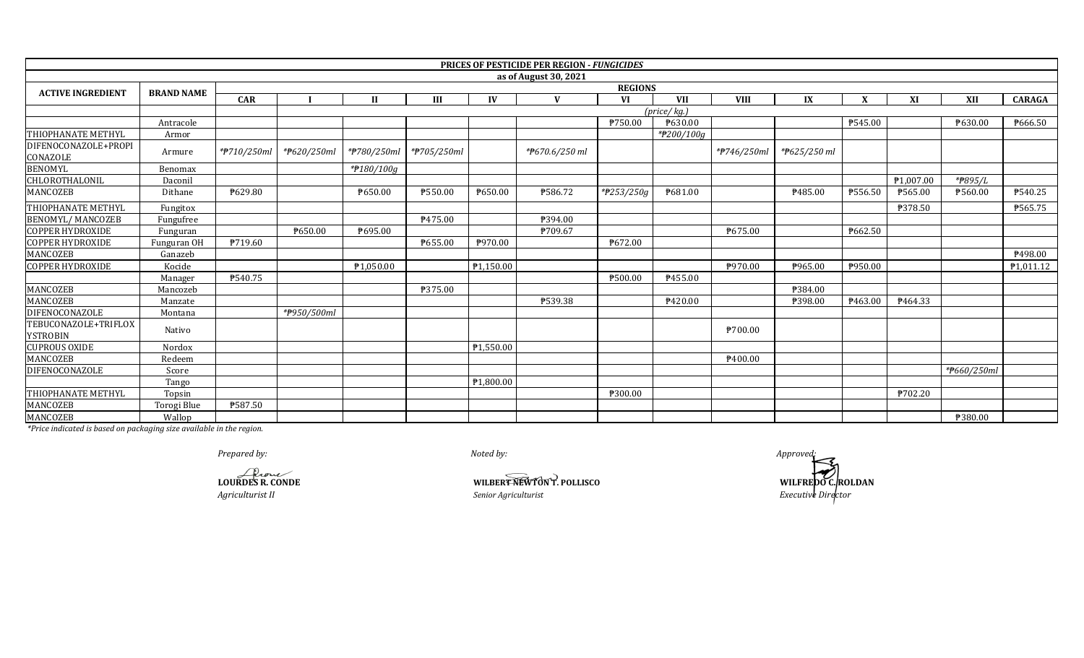|                                         |                   |             |                |              |             |           | <b>PRICES OF PESTICIDE PER REGION - FUNGICIDES</b> |            |                            |                     |              |         |           |             |                        |  |
|-----------------------------------------|-------------------|-------------|----------------|--------------|-------------|-----------|----------------------------------------------------|------------|----------------------------|---------------------|--------------|---------|-----------|-------------|------------------------|--|
|                                         |                   |             |                |              |             |           | as of August 30, 2021                              |            |                            |                     |              |         |           |             |                        |  |
| <b>ACTIVE INGREDIENT</b>                | <b>BRAND NAME</b> |             | <b>REGIONS</b> |              |             |           |                                                    |            |                            |                     |              |         |           |             |                        |  |
|                                         |                   | <b>CAR</b>  |                | $\mathbf{H}$ | III         | IV        | $\mathbf{V}$                                       | VI         | <b>VII</b>                 | <b>VIII</b>         | IX           | X       | XI        | XII         | <b>CARAGA</b>          |  |
|                                         |                   |             |                |              |             |           |                                                    |            | $(\text{price}/\text{kg})$ |                     |              |         |           |             |                        |  |
|                                         | Antracole         |             |                |              |             |           |                                                    | ₱750.00    | ₱630.00                    |                     |              | P545.00 |           | ₱630.00     | P666.50                |  |
| THIOPHANATE METHYL                      | Armor             |             |                |              |             |           |                                                    |            | *#200/100g                 |                     |              |         |           |             |                        |  |
| DIFENOCONAZOLE+PROPI<br>CONAZOLE        | Armure            | *#710/250ml | *#620/250ml    | *#780/250ml  | *#705/250ml |           | *P670.6/250 ml                                     |            |                            | *#746/250ml         | *P625/250 ml |         |           |             |                        |  |
| <b>BENOMYL</b>                          | Benomax           |             |                | *#180/100g   |             |           |                                                    |            |                            |                     |              |         |           |             |                        |  |
| CHLOROTHALONIL                          | Daconil           |             |                |              |             |           |                                                    |            |                            |                     |              |         | ₱1,007.00 | *P895/L     |                        |  |
| MANCOZEB                                | Dithane           | ₱629.80     |                | P650.00      | P550.00     | ₱650.00   | P586.72                                            | *#253/250g | P681.00                    |                     | P485.00      | ₱556.50 | P565.00   | ₱560.00     | P540.25                |  |
| THIOPHANATE METHYL                      | Fungitox          |             |                |              |             |           |                                                    |            |                            |                     |              |         | ₱378.50   |             | P565.75                |  |
| <b>BENOMYL/MANCOZEB</b>                 | Fungufree         |             |                |              | P475.00     |           | ₱394.00                                            |            |                            |                     |              |         |           |             |                        |  |
| <b>COPPER HYDROXIDE</b>                 | Funguran          |             | ₱650.00        | P695.00      |             |           | P709.67                                            |            |                            | P675.00             |              | ₱662.50 |           |             |                        |  |
| <b>COPPER HYDROXIDE</b>                 | Funguran OH       | ₱719.60     |                |              | P655.00     | ₱970.00   |                                                    | ₱672.00    |                            |                     |              |         |           |             |                        |  |
| MANCOZEB                                | Ganazeb           |             |                |              |             |           |                                                    |            |                            |                     |              |         |           |             | ₹498.00                |  |
| <b>COPPER HYDROXIDE</b>                 | Kocide            |             |                | P1,050.00    |             | P1,150.00 |                                                    |            |                            | P970.00             | ₱965.00      | ₱950.00 |           |             | P <sub>1</sub> ,011.12 |  |
|                                         | Manager           | P540.75     |                |              |             |           |                                                    | P500.00    | P455.00                    |                     |              |         |           |             |                        |  |
| MANCOZEB                                | Mancozeb          |             |                |              | ₱375.00     |           |                                                    |            |                            |                     | P384.00      |         |           |             |                        |  |
| <b>MANCOZEB</b>                         | Manzate           |             |                |              |             |           | ₱539.38                                            |            | ₱420.00                    |                     | ₱398.00      | P463.00 | P464.33   |             |                        |  |
| DIFENOCONAZOLE                          | Montana           |             | *#950/500ml    |              |             |           |                                                    |            |                            |                     |              |         |           |             |                        |  |
| TEBUCONAZOLE+TRIFLOX<br><b>YSTROBIN</b> | Nativo            |             |                |              |             |           |                                                    |            |                            | P700.00             |              |         |           |             |                        |  |
| <b>CUPROUS OXIDE</b>                    | Nordox            |             |                |              |             | P1,550.00 |                                                    |            |                            |                     |              |         |           |             |                        |  |
| MANCOZEB                                | Redeem            |             |                |              |             |           |                                                    |            |                            | P <sub>400.00</sub> |              |         |           |             |                        |  |
| DIFENOCONAZOLE                          | Score             |             |                |              |             |           |                                                    |            |                            |                     |              |         |           | *#660/250ml |                        |  |
|                                         | Tango             |             |                |              |             | ₱1,800.00 |                                                    |            |                            |                     |              |         |           |             |                        |  |
| THIOPHANATE METHYL                      | Topsin            |             |                |              |             |           |                                                    | ₱300.00    |                            |                     |              |         | ₱702.20   |             |                        |  |
| MANCOZEB                                | Torogi Blue       | ₱587.50     |                |              |             |           |                                                    |            |                            |                     |              |         |           |             |                        |  |
| MANCOZEB                                | Wallop            |             |                |              |             |           |                                                    |            |                            |                     |              |         |           | ₱380.00     |                        |  |

*Prepared by: Approved:*

**LOURDES R. CONDE**

*Agriculturist II*

**WILBERT NEWTON T. POLLISCO** 

*Noted by:*

**WILBERT REWTON T. POLLISCO**<br> *Senior Agriculturist*<br> *Executive Director*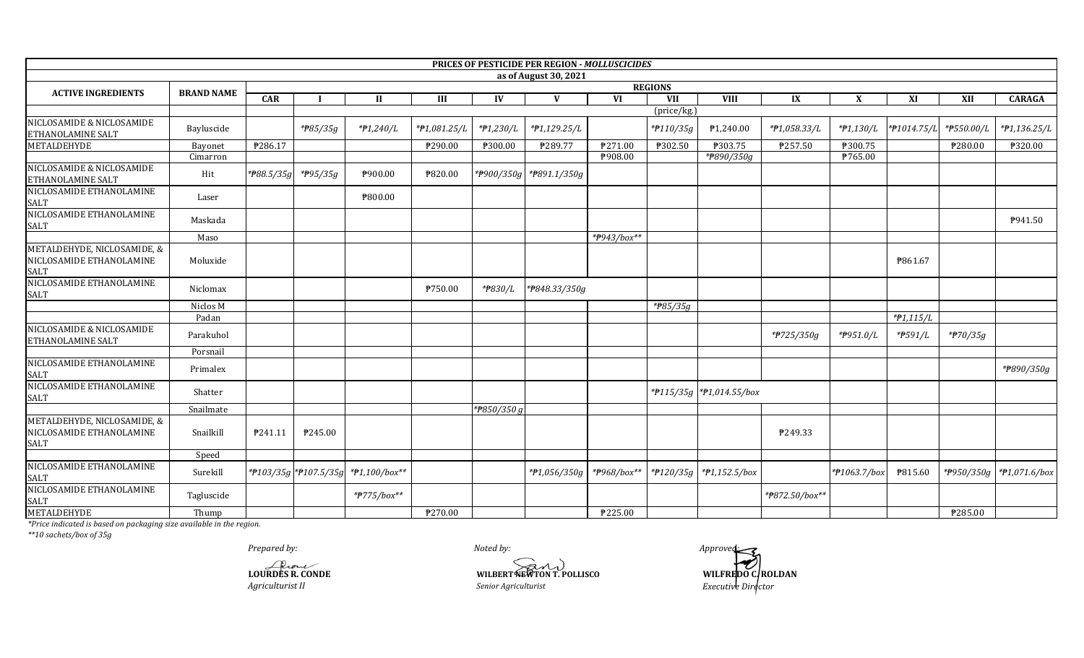|                                                                        |                   |            |                       |                                     |              |             | PRICES OF PESTICIDE PER REGION - MOLLUSCICIDES |                |                |                           |                |              |              |            |                                |
|------------------------------------------------------------------------|-------------------|------------|-----------------------|-------------------------------------|--------------|-------------|------------------------------------------------|----------------|----------------|---------------------------|----------------|--------------|--------------|------------|--------------------------------|
|                                                                        |                   |            |                       |                                     |              |             | as of August 30, 2021                          |                |                |                           |                |              |              |            |                                |
| <b>ACTIVE INGREDIENTS</b>                                              | <b>BRAND NAME</b> |            |                       |                                     |              |             |                                                |                | <b>REGIONS</b> |                           |                |              |              |            |                                |
|                                                                        |                   | CAR        |                       | $\mathbf{I}$                        | III          | IV          | V                                              | <b>VI</b>      | VII            | <b>VIII</b>               | IX             | X            | XI           | XII        | <b>CARAGA</b>                  |
| NICLOSAMIDE & NICLOSAMIDE                                              |                   |            |                       |                                     |              |             |                                                |                | (price/kg.)    |                           |                |              |              |            |                                |
| ETHANOLAMINE SALT                                                      | Bayluscide        |            | *#85/35g              | *#1,240/L                           | *P1,081.25/L | *#1,230/L   | $*P1,129.25/L$                                 |                | *#110/35g      | ₱1,240.00                 | *#1,058.33/L   | *#1,130/L    | *#1014.75/L  | *#550.00/L | $*P1,136.25/L$                 |
| <b>METALDEHYDE</b>                                                     | Bayonet           | P286.17    |                       |                                     | ₱290.00      | ₱300.00     | ₱289.77                                        | <b>\271.00</b> | ₱302.50        | ₱303.75                   | ₱257.50        | ₱300.75      |              | P280.00    | ₱320.00                        |
|                                                                        | Cimarron          |            |                       |                                     |              |             |                                                | P908.00        |                | *#890/350g                |                | ₱765.00      |              |            |                                |
| NICLOSAMIDE & NICLOSAMIDE<br>ETHANOLAMINE SALT                         | Hit               | *P88.5/35g | * <del>P</del> 95/35g | ₱900.00                             | ₱820.00      | *#900/350g  | *#891.1/350g                                   |                |                |                           |                |              |              |            |                                |
| NICLOSAMIDE ETHANOLAMINE<br><b>SALT</b>                                | Laser             |            |                       | P800.00                             |              |             |                                                |                |                |                           |                |              |              |            |                                |
| NICLOSAMIDE ETHANOLAMINE<br>SALT                                       | Maskada           |            |                       |                                     |              |             |                                                |                |                |                           |                |              |              |            | P941.50                        |
|                                                                        | Maso              |            |                       |                                     |              |             |                                                | *P943/box**    |                |                           |                |              |              |            |                                |
| METALDEHYDE, NICLOSAMIDE, &<br>NICLOSAMIDE ETHANOLAMINE<br><b>SALT</b> | Moluxide          |            |                       |                                     |              |             |                                                |                |                |                           |                |              | P861.67      |            |                                |
| NICLOSAMIDE ETHANOLAMINE<br>SALT                                       | Niclomax          |            |                       |                                     | ₱750.00      | *₱830/L     | *P848.33/350g                                  |                |                |                           |                |              |              |            |                                |
|                                                                        | Niclos M          |            |                       |                                     |              |             |                                                |                | * $785/35g$    |                           |                |              |              |            |                                |
|                                                                        | Padan             |            |                       |                                     |              |             |                                                |                |                |                           |                |              | $*$ #1,115/L |            |                                |
| NICLOSAMIDE & NICLOSAMIDE<br>ETHANOLAMINE SALT                         | Parakuhol         |            |                       |                                     |              |             |                                                |                |                |                           | *#725/350g     | *P951.0/L    | *P591/L      | *#70/35g   |                                |
|                                                                        | Porsnail          |            |                       |                                     |              |             |                                                |                |                |                           |                |              |              |            |                                |
| NICLOSAMIDE ETHANOLAMINE<br><b>SALT</b>                                | Primalex          |            |                       |                                     |              |             |                                                |                |                |                           |                |              |              |            | *#890/350g                     |
| NICLOSAMIDE ETHANOLAMINE<br><b>SALT</b>                                | Shatter           |            |                       |                                     |              |             |                                                |                |                | *#115/35g *#1,014.55/box  |                |              |              |            |                                |
|                                                                        | Snailmate         |            |                       |                                     |              | *P850/350 g |                                                |                |                |                           |                |              |              |            |                                |
| METALDEHYDE, NICLOSAMIDE, &<br>NICLOSAMIDE ETHANOLAMINE<br>SALT        | Snailkill         | P241.11    | P245.00               |                                     |              |             |                                                |                |                |                           | ₱249.33        |              |              |            |                                |
|                                                                        | Speed             |            |                       |                                     |              |             |                                                |                |                |                           |                |              |              |            |                                |
| NICLOSAMIDE ETHANOLAMINE<br><b>SALT</b>                                | Surekill          |            |                       | *P103/35g *P107.5/35g *P1,100/box** |              |             | *#1,056/350g                                   | *#968/box**    |                | *#120/35g   *#1,152.5/box |                | *#1063.7/box | ₹815.60      |            | * $P950/350g$ * $P1,071.6/box$ |
| NICLOSAMIDE ETHANOLAMINE<br>SALT                                       | Tagluscide        |            |                       | *#775/box**                         |              |             |                                                |                |                |                           | *P872.50/box** |              |              |            |                                |
| <b>METALDEHYDE</b>                                                     | Thump             |            |                       |                                     | P270.00      |             |                                                | ₹225.00        |                |                           |                |              |              | ₱285.00    |                                |

\*Price indicated is based on packaging size available in the region.<br>\*Price indicated is based on packaging size available in the region.

Prepared by:

LOURDES R. CONDE Agriculturist II

Noted by: WILBERT WEWTON T. POLLISCO Senior Agriculturist